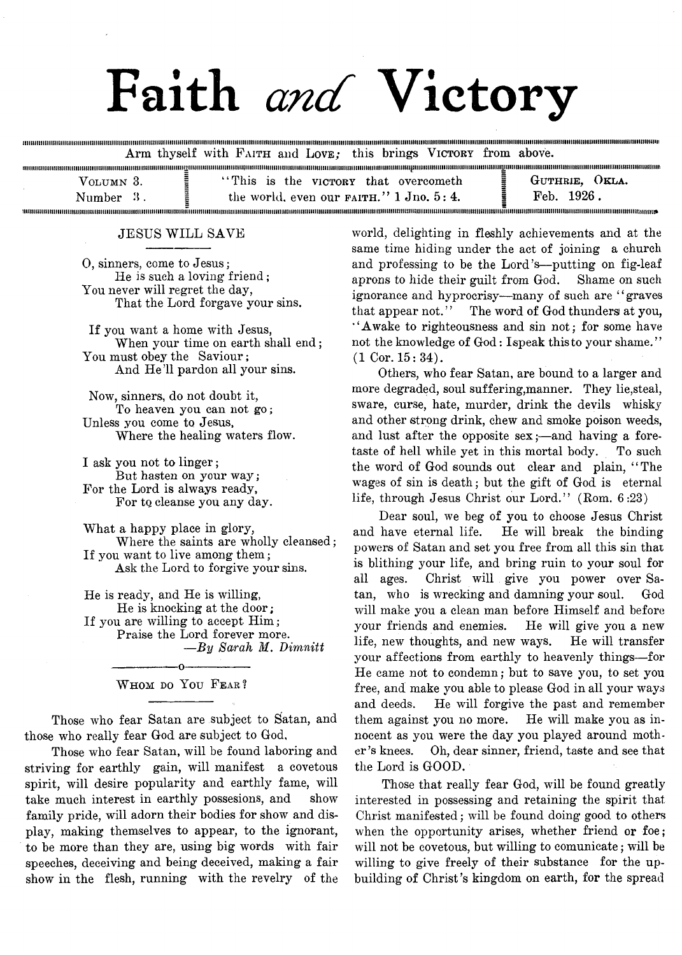# Faith *and* Victory

........................................................................................................ ........... . Arm thyself with FAITH and LOVE; this brings VICTORY from above.

| Уоьнму 3. | "This is the victory that overcometh"                                                  | GUTHRIE. OKLA. |
|-----------|----------------------------------------------------------------------------------------|----------------|
| Number    | the world, even our $F_A$ <sup>7</sup> and $F_A$ <sup>7</sup> and $F_A$ <sub>7</sub> . | Feb. 1926.     |
|           |                                                                                        |                |

#### JESUS WILL SAVE

m

0, sinners, come to Jesus; He is such a loving friend ; You never will regret the day, That the Lord forgave your sins.

If you want a home with Jesus, When your time on earth shall end; You must obey the Saviour; And He'll pardon all your sins.

Now, sinners, do not doubt it, To heaven you can not go; Unless you come to Jesus, Where the healing waters flow.

I ask you not to linger; But hasten on your way; For the Lord is always ready, For to cleanse you any day.

What a happy place in glory, Where the saints are wholly cleansed; If you want to live among them; Ask the Lord to forgive your sins.

He is ready, and He is willing, He is knocking at the door; If you are willing to accept Him; Praise the Lord forever more. *—By Sarah M. Dimnitt*

> -----------------o----------------- WHOM DO YOU FEAR?

Those who fear Satan are subject to Satan, and those who really fear God are subject to God,

Those who fear Satan, will be found laboring and striving for earthly gain, will manifest a covetous spirit, will desire popularity and earthly fame, will take much interest in earthly possesions, and show family pride, will adorn their bodies for show and display, making themselves to appear, to the ignorant, to be more than they are, using big words with fair speeches, deceiving and being deceived, making a fair show in the flesh, running with the revelry of the

world, delighting in fleshly achievements and at the same time hiding under the act of joining a church and professing to be the Lord's—putting on fig-leaf aprons to hide their guilt from God. Shame on such ignorance and hyprocrisy—many of such are "graves" that appear not." The word of God thunders at you, " Awake to righteousness and sin not; for some have not the knowledge of God: Ispeak this to your shame." (1 Cor. 15:34).

ioninaminamum

Others, who fear Satan, are bound to a larger and more degraded, soul suffering,manner. They lie,steal, sware, curse, hate, murder, drink the devils whisky and other strong drink, chew and smoke poison weeds, and lust after the opposite sex;—and having a foretaste of hell while yet in this mortal body. To such the word of God sounds out clear and plain, "The wages of sin is death; but the gift of God is eternal life, through Jesus Christ our Lord." (Rom. 6:23)

Dear soul, we beg of you to choose Jesus Christ and have eternal life. He will break the binding powers of Satan and set you free from all this sin that is blithing your life, and bring ruin to your soul for all ages. Christ will give you power over Satan, who is wrecking and damning your soul. God will make you a clean man before Himself and before your friends and enemies. He will give you a new life, new thoughts, and new ways. He will transfer your affections from earthly to heavenly things— for He came not to condemn; but to save you, to set you free, and make you able to please God in all your ways and deeds. He will forgive the past and remember them against you no more. He will make you as innocent as you were the day you played around mother's knees. Oh, dear sinner, friend, taste and see that the Lord is GOOD.

Those that really fear God, will be found greatly interested in possessing and retaining the spirit that Christ manifested; will be found doing good to others when the opportunity arises, whether friend or foe; will not be covetous, but willing to comunicate; will be willing to give freely of their substance for the upbuilding of Christ's kingdom on earth, for the spread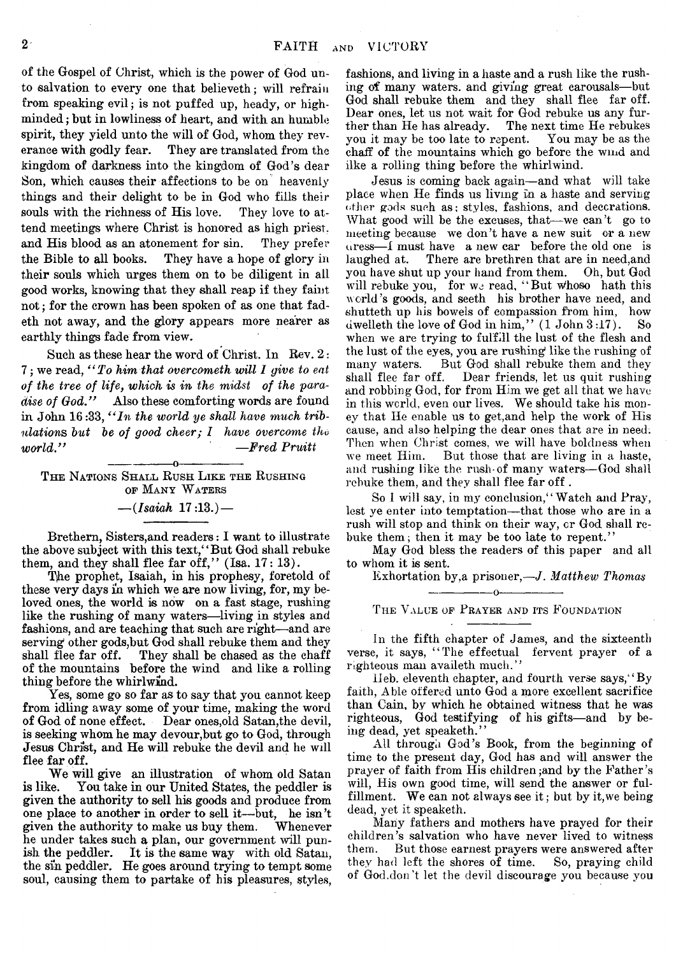of the Gospel of Christ, which is the power of God unto salvation to every one that believeth; will refrain from speaking evil; is not puffed up, heady, or highminded ; but in lowliness of heart, and with an humble spirit, they yield unto the will of God, whom they reverance with godly fear. They are translated from the kingdom of darkness into the kingdom of God's dear Son, which causes their affections to be on heavenly things and their delight to be in God who fills their souls with the richness of His love. They love to attend meetings where Christ is honored as high priest, and His blood as an atonement for sin. They prefer the Bible to all books. They have a hope of glory in their souls which urges them on to be diligent in ail good works, knowing that they shall reap if they faint not; for the crown has been spoken of as one that fadeth not away, and the glory appears more nearer as earthly things fade from view.

Such as these hear the word of Christ. In Rev. 2: 7; we read, *" To him that overcometh will 1 give to eat of the tree of life, which is in the midst of the paradise of God."* Also these comforting words are found in John 16:33, *" In the world ye shall have much tribulations but be of good cheer; I have overcome the world " —Fred Pruitt*

-----------------o----------------- The Nations Shall Rush Like the Rushing op Many W aters *— (Isaiah* 17:13.) —

Brethern, Sisters,and readers: I want to illustrate the above subject with this text," But God shall rebuke them, and they shall flee far off,"  $(Isa. 17: 13)$ .

The prophet, Isaiah, in his prophesy, foretold of these very days in which we are now living, for, my beloved ones, the world is now on a fast stage, rushing like the rushing of many waters— living in styles and fashions, and are teaching that such are right—and are serving other gods,but God shall rebuke them and they shall flee far off. They shall be chased as the chaff They shall be chased as the chaff. of the mountains before the wind and like a rolling thing before the whirlwind.

Yes, some go so far as to say that you cannot keep from idling away some of your time, making the word of God of none effect. Dear ones,old Satan,the devil, is seeking whom he may devour,but go to God, through Jesus Christ, and He will rebuke the devil and he will flee far off.

We will give an illustration of whom old Satan<br>is like. You take in our United States, the peddler is You take in our United States, the peddler is given the authority to sell his goods and produce from one place to another in order to sell it— but, he isn't given the authority to make us buy them. Whenever he under takes such a plan, our government will punish the peddler. It is the same way with old Satan, the sin peddler. He goes around trying to tempt some soul, causing them to partake of his pleasures, styles,

fashions, and living in a haste and a rush like the rushing of many waters, and giving great carousals—but God shall rebuke them and they shall flee far off. Dear ones, let us not wait for God rebuke us any further than He has already. The next time He rebukes you it may be too late to repent. You may be as the chaff of the mountains which go before the wind and ilke a rolling thing before the whirlwind.

Jesus is coming back again— and what will take place when He finds us living in a haste and serving other gods such as; styles, fashions, and decorations. What good will be the excuses, that—we can't go to meeting because we don't have a new suit cr a new uress— 1 must have a new car before the old one is laughed at. There are brethren that are in need,and you have shut up your hand from them. Oh, but God will rebuke you, for we read, "But whoso hath this world's goods, and seeth his brother have need, and shutteth up his bowels of compassion from him, how dwelleth the love of God in him."  $(1$  John  $3:17$ ). So dwelleth the love of God in him,"  $(1$  John  $3:17)$ . when we are trying to fulfill the lust of the flesh and the lust of the eyes, you are rushing like the rushing of many waters. But God shall rebuke them and they But God shall rebuke them and they shall flee far off. Dear friends, let us quit rushing and robbing God, for from Him we get all that we have in this world, even our lives. We should take his money that He enable us to get,and help the work of His cause, and also helping the dear ones that are in need. Then when Christ comes, we will have boldness when we meet Him. But those that are living in a haste, and rushing like the rush-of many waters— God shall rebuke them, and they shall flee far off .

So I will say, in my conclusion," Watch and Pray, lest ye enter into temptation— that those who are in a rush will stop and think on their way, or God shall rebuke them; then it may be too late to repent."

May God bless the readers of this paper and all to whom it is sent.

Exhortation by,a prisoner,—*J. Matthew Thomas*

---------------- o----------------- THE VALUE OF PRAYER AND ITS FOUNDATION

In the fifth chapter of James, and the sixteenth verse, it says, "The effectual fervent prayer of a righteous man availeth much."

IIeb. eleventh chapter, and fourth verse says," By faith, Able offered unto God a more excellent sacrifice than Cain, by which he obtained witness that he was righteous, God testifying of his gifts— and by being dead, yet speaketh."

All through God's Book, from the beginning of time to the present day, God has and will answer the prayer of faith from His children, and by the Father's will, His own good time, will send the answer or fulfillment. We can not always see it ; but by it,we being dead, yet it speaketh.

Many fathers and mothers have prayed for their children's salvation who have never lived to witness them. But those earnest prayers were answered after they had left the shores of time. So, praying child of God.don't let the devil discourage you because you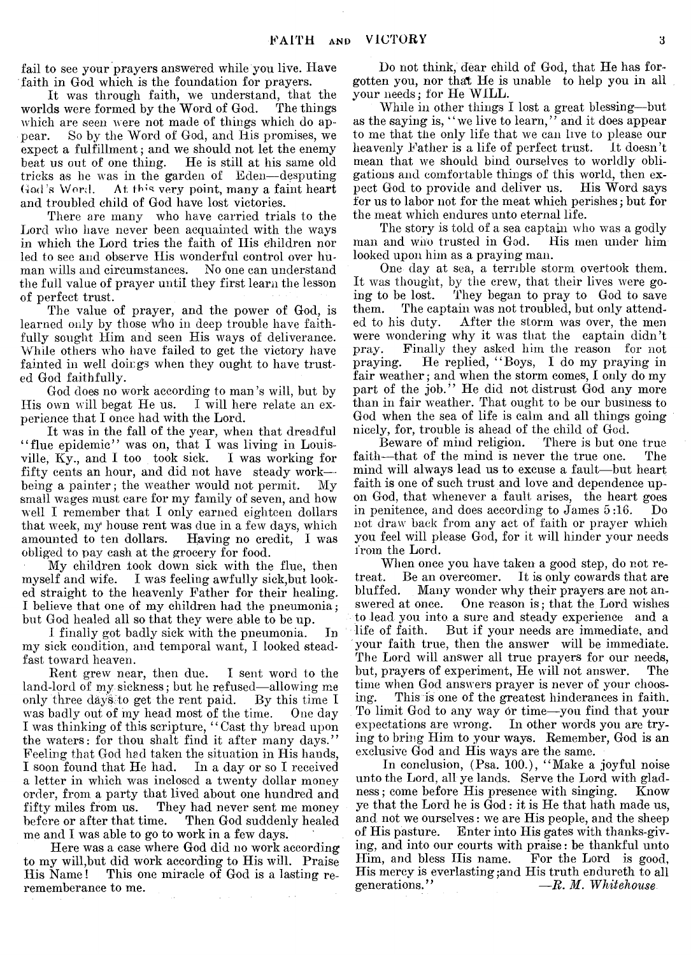fail to see your prayers answered while you live. Have faith in God which is the foundation for prayers.

It was through faith, we understand, that the worlds were formed by the Word of God. The things which are seen were not made of things which do appear. So by the Word of God, and His promises, we expect a fulfillment; and we should not let the enemy beat us out of one thing. He is still at his same old tricks as he was in the garden of Eden-desputing God's Word. At this very point, many a faint heart and troubled child of God have lost victories.

There are many who have carried trials to the Lord who have never been acquainted with the ways in which the Lord tries the faith of His children nor led to see and observe His wonderful control over human wills and circumstances. No one can understand man wills and circumstances. the full value of prayer until they first learn the lesson of perfect trust.

The value of prayer, and the power of God, is learned only by those who in deep trouble have faithfully sought Him and seen His ways of deliverance. While others who have failed to get the victory have fainted in well doings when they ought to have trusted God faithfully.

God does no work according to man's will, but by His own will begat He us. I will here relate an experience that I once had with the Lord.

It was in the fall of the year, when that dreadful " flue epidemic" was on, that I was living in Louisville, Ky., and I too took sick. I was working for fifty cents an hour, and did not have steady work being a painter; the weather would not permit. My small wages must care for my family of seven, and how well I remember that I only earned eighteen dollars that week, my house rent was due in a few days, which<br>amounted to ten dollars. Having no credit, I was Having no credit, I was obliged to pay cash at the grocery for food.

My children took down sick with the flue, then myself and wife. I was feeling awfully sick,but looked straight to the heavenly Father for their healing. I believe that one of my children had the pneumonia*;* but God healed all so that they were able to be up.

I finally got badly sick with the pneumonia. In my sick condition, and temporal want, I looked steadfast toward heaven.

Rent grew near, then due. I sent word to the land-lord of my sickness; but he refused—allowing me<br>only three days to get the rent paid. By this time I only three days'to get the rent paid. By this time I was badly out of my head most of the time. I was thinking of this scripture, " Cast thy bread upon the waters: for thou shalt find it after many days." Feeling that God had taken the situation in His hands, I soon found that He had. In a day or so I received a letter in which was inclosed a twenty dollar money order, from a party that lived about one hundred and fifty miles from us. They had never sent me money<br>before or after that time. Then God suddenly healed Then God suddenly healed me and I was able to go to work in a few days.

Here was a case where God did no work according to my will,but did work according to His will. Praise His Name! This one miracle of God is a lasting rerememberance to me.

Do not think, dear child of God, that He has forgotten you, nor that He is unable to help you in all your needs; for He WILL.

While in other things I lost a great blessing—but as the saying is, "we live to learn," and it does appear to me that the only life that we can live to please our<br>heavenly Father is a life of perfect trust. It doesn't heavenly Father is a life of perfect trust. mean that we should bind ourselves to worldly obligations and comfortable things of this world, then expect God to provide and deliver us. His Word says for us to labor not for the meat which perishes; but for the meat which endures unto eternal life.

The story is told of a sea captain who was a godly man and who trusted in God. His men under him looked upon him as a praying man.

One day at sea, a terrible storm overtook them. It was thought, by the crew, that their lives were going to be lost. They began to pray to God to save them. The captain was not troubled, but only attended to his duty. After the storm was over, the men After the storm was over, the men were wondering why it was that the captain didn't pray. Finally they asked him the reason for not praying. He replied, " Boys, I do my praying in fair weather; and when the storm comes, I only do my part of the job." He did not distrust God any more than in fair weather. That ought to be our business to God when the sea of life is calm and all things going nicely, for, trouble is ahead of the child of God.<br>Beware of mind religion. There is but one true

Beware of mind religion. faith—that of the mind is never the true one. The mind will always lead us to excuse a fault—but heart faith is one of such trust and love and dependence upon God, that whenever a fault arises, the heart goes in penitence, and does according to James 5 :16. Do not draw back from any act of faith or prayer which you feel will please God, for it will hinder your needs from the Lord.

When once you have taken a good step, do not retreat. Be an overcomer. It is only cowards that are bluffed. Many wonder why their prayers are not answered at once. One reason is; that the Lord wishes to lead you into a sure and steady experience and a life of faith. But if your needs are immediate, and your faith true, then the answer will be immediate. The Lord will answer all true prayers for our needs, but, prayers of experiment, He will not answer. The time when God answers prayer is never of your choosing. This is one of the greatest hinderances in faith. To limit God to any way or time—you find that your expectations are wrong. In other words you are trying to bring Him to your ways. Remember, God is an exclusive God and His ways are the same.

In conclusion, (Psa. 100.), " Make a joyful noise unto the Lord, all ye lands. Serve the Lord with gladness; come before His presence with singing. Know ness; come before His presence with singing. ye that the Lord he is God: it is He that hath made us, and not we ourselves: we are His people, and the sheep of His pasture. Enter into His gates with thanks-giving, and into our courts with praise: be thankful unto Him, and bless His name. His mercy is everlasting ;and His truth endureth to all generations."  $-R. M. Whithouse$  $R$ *m. Whitehouse*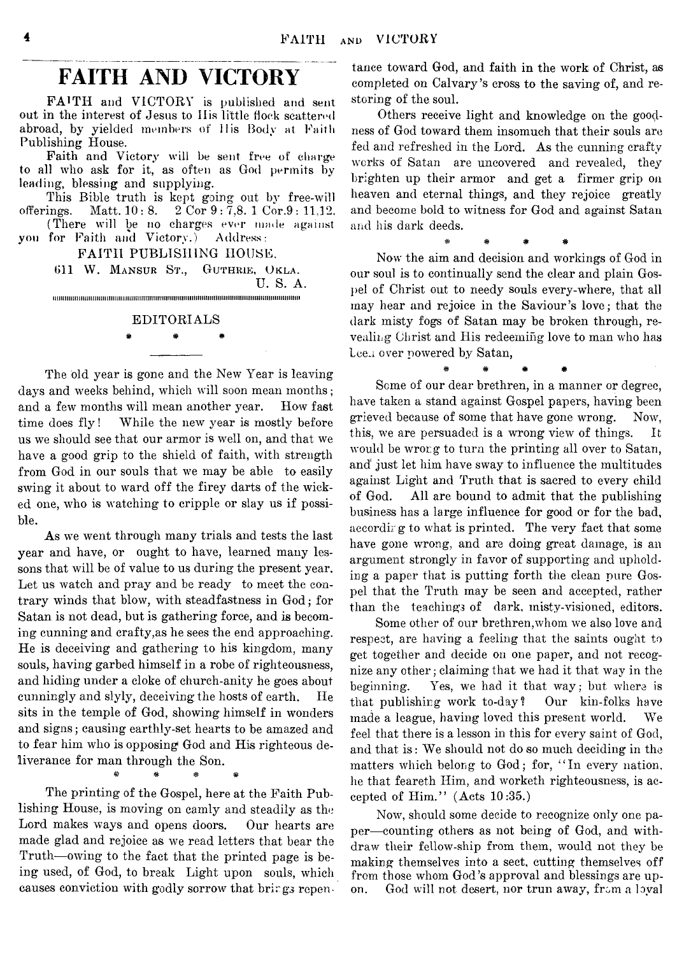# **FAITH AND VICTORY**

FAITH and VICTORY is published and sent out in the interest of Jesus to Iiis little flock scattered abroad, by yielded members of ilis Body at Faith Publishing House.

Faith and Victory will be sent free of charge to all who ask for it, as often as God permits by leading, blessing and supplying.

This Bible truth is kept going out by free-will offerings. Matt. 10 : 8. 2 Cor 9 : 7,8. 1 Cor.9 : 11,12.

(There will be no charges ever made against you for Faith and Victory.) Address:

FAITH PUBLISHING HOUSE.

Oil W. Mansur St., Guthrie, Okla. U. S. A.  $\color{red} \textcolor{red}{\textbf{min}}\hspace{1.5cm} \textcolor{red}{\textbf{min}}\hspace{1.5cm} \textcolor{red}{\textbf{min}}\hspace{1.5cm} \textcolor{red}{\textbf{min}}\hspace{1.5cm} \textcolor{red}{\textbf{min}}\hspace{1.5cm} \textcolor{red}{\textbf{min}}\hspace{1.5cm} \textcolor{red}{\textbf{min}}\hspace{1.5cm} \textcolor{red}{\textbf{min}}\hspace{1.5cm} \textcolor{red}{\textbf{min}}\hspace{1.5cm} \textcolor{red}{\textbf{min}}\hspace{1.5cm} \textcolor{red$ 

#### EDITORIALS

#### # # \*

The old year is gone and the New Year is leaving days and weeks behind, which will soon mean months; and a few months will mean another year. How fast time does fly! While the new year is mostly before us we should see that our armor is well on, and that we have a good grip to the shield of faith, with strength from God in our souls that we may be able to easily swing it about to ward off the firey darts of the wicked one, who is watching to cripple or slay us if possible.

As we went through many trials and tests the last year and have, or ought to have, learned many lessons that will be of value to us during the present year. Let us watch and pray and be ready to meet the contrary winds that blow, with steadfastness in God; for Satan is not dead, but is gathering force, and is becoming cunning and crafty,as he sees the end approaching. He is deceiving and gathering to his kingdom, many souls, having garbed himself in a robe of righteousness, and hiding under a cloke of church-anity he goes about cunningly and slyly, deceiving the hosts of earth. He sits in the temple of God, showing himself in wonders and signs; causing earthly-set hearts to be amazed and to fear him who is opposing God and His righteous deliverance for man through the Son.

\* \* \* \* \*

The printing of the Gospel, here at the Faith Publishing House, is moving on camly and steadily as the\* Lord makes ways and opens doors. Our hearts are made glad and rejoice as we read letters that bear the Truth— owing to the fact that the printed page is being used, of God, to break Light upon souls, which causes conviction with godly sorrow that brings repentance toward God, and faith in the work of Christ, as completed on Calvary's cross to the saving of, and restoring of the soul.

Others receive light and knowledge on the goodness of God toward them insomuch that their souls are fed and refreshed in the Lord. As the cunning crafty works of Satan are uncovered and revealed, they brighten up their armor and get a firmer grip on heaven and eternal things, and they rejoice greatly and become bold to witness for God and against Satan and his dark deeds.

\* # # #

Now the aim and decision and workings of God in our soul is to continually send the clear and plain Gospel of Christ out to needy souls every-where, that all may hear and rejoice in the Saviour's love; that the dark misty fogs of Satan may be broken through, revealing Christ and His redeeming love to man who has Lee. over powered by Satan,

& # # #

Seme of our dear brethren, in a manner or degree, have taken a stand against Gospel papers, having been grieved because of some that have gone wrong. Now, this, we are persuaded is a wrong view of things. It would be wrong to turn the printing all over to Satan, and just let him have sway to influence the multitudes against Light and Truth that is sacred to every child of God. All are bound to admit that the publishing business has a large influence for good or for the bad, aecordir g to what is printed. The very fact that some have gone wrong, and are doing great damage, is an argument strongly in favor of supporting and upholding a paper that is putting forth the clean pure Gospel that the Truth may be seen and accepted, rather than the teachings of dark, misty-visioned, editors.

Some other of our brethren,whom we also love and respect, are having a feeling that the saints ought to get together and decide on one paper, and not recognize any other; claiming that we had it that way in the beginning. Yes, we had it that way; but where is that publishing work to-day? Our kin-folks have made a league, having loved this present world. We feel that there is a lesson in this for every saint of God, and that is: We should not do so much deciding in the matters which belong to God; for, " In every nation, he that feareth Him, and worketh righteousness, is accepted of Him." (Acts 10:35.)

Now, should some decide to recognize only one paper-counting others as not being of God, and withdraw their fellow-ship from them, would not they be making themselves into a sect, cutting themselves off from those whom God's approval and blessings are upon. God will not desert, nor trun away, from a loyal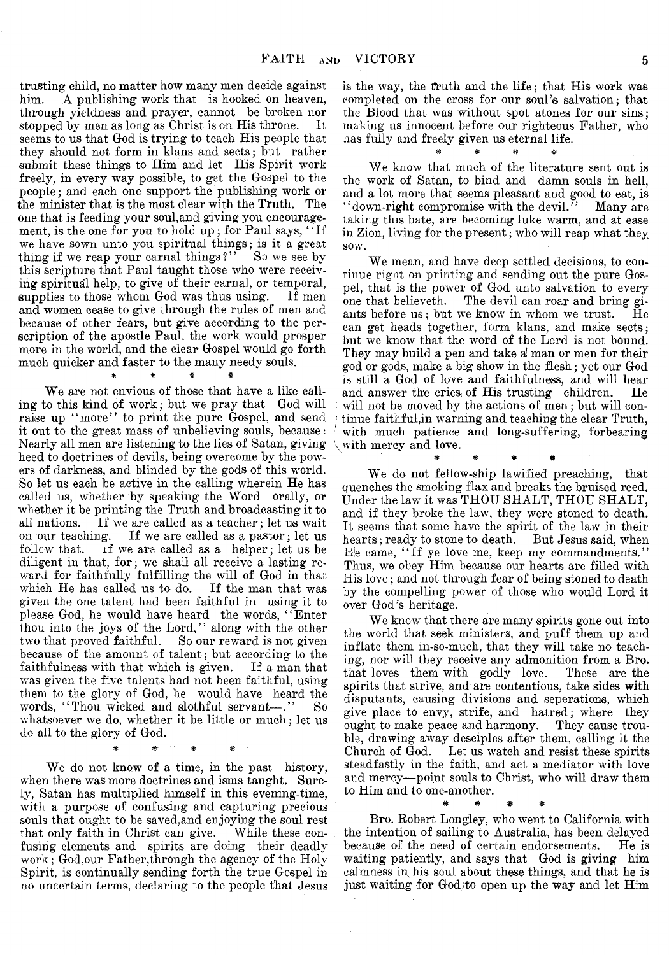trusting child, no matter how many men decide against him. A publishing work that is hooked on heaven, through yieldness and prayer, cannot be broken nor stopped by men as long as Christ is on His throne. It seems to us that God is trying to teach His people that they should not form in klans and sects; but rather submit these things to Him and let His Spirit work freely, in every way possible, to get the Gospel to the people; and each one support the publishing work or the minister that is the most clear with the Truth. The one that is feeding your soul,and giving you encouragement, is the one for you to hold up; for Paul says, "If we have sown unto you spiritual things; is it a great thing if we reap your carnal things?" So we see by this scripture that Paul taught those who were receiving spiritual help, to give of their carnal, or temporal, supplies to those whom God was thus using. If men and women cease to give through the rules of men and because of other fears, but give according to the perscription of the apostle Paul, the work would prosper more in the world, and the clear Gospel would go forth much quicker and faster to the many needy souls. \* \* # #

We are not envious of those that have a like calling to this kind of work; but we pray that God will raise up "more" to print the pure Gospel, and send it out to the great mass of unbelieving souls, because: Nearly all men are listening to the lies of Satan, giving heed to doctrines of devils, being overcome by the powers of darkness, and blinded by the gods of this world. So let us each be active in the calling wherein He has called us, whether by speaking the Word orally, or whether it be printing the Truth and broadcasting it to all nations. If we are called as a teacher; let us wait on our teaching. If we are called as a pastor; let us be follow that. If we are called as a helper; let us be if we are called as a helper; let us be diligent in that, for; we shall all receive a lasting reward for faithfully fulfilling the will of God in that which He has called us to do. If the man that was given the one talent had been faithful in using it to please God, he would have heard the words, " Enter thou into the joys of the Lord," along with the other two that proved faithful. So our reward is not given because of the amount of talent; but according to the faithfulness with that which is given. If a man that was given the five talents had not been faithful, using them to the glory of God, he would have heard the words, "Thou wicked and slothful servant-". So whatsoever we do, whether it be little or much; let us do all to the glory of God.

# \* \* #

We do not know of a time, in the past history, when there was more doctrines and isms taught. Surely, Satan has multiplied himself in this evening-time, with a purpose of confusing and capturing precious souls that ought to be saved,and enjoying the soul rest that only faith in Christ can give. While these confusing elements and spirits are doing their deadly work; God,our Father,through the agency of the Holy Spirit, is continually sending forth the true Gospel in ao uncertain terms, declaring to the people that Jesus

is the way, the truth and the life; that His work was completed on the cross for our soul's salvation; that the Blood that was without spot atones for our sins; making us innocent before our righteous Father, who has fully and freely given us eternal life.

# # # =&

We know that much of the literature sent out is the work of Satan, to bind and damn souls in hell, and a lot more that seems pleasant and good to eat, is "down-right compromise with the devil." Many are taking this bate, are becoming luke warm, and at ease in Zion, living for the present; who will reap what they sow.

We mean, and have deep settled decisions, to continue right on printing and sending out the pure Gospel, that is the power of God unto salvation to every one that believeth. The devil can roar and bring gi-The devil can roar and bring giants before us; but we know in whom we trust.  $He$ can get heads together, form klans, and make sects; but we know that the word of the Lord is not bound. They may build a pen and take *a!* man or men for their god or gods, make a big show in the flesh; yet our God is still a God of love and faithfulness, and will hear and answer the cries, of His trusting children. He will not be moved by the actions of men; but will con*i* tinue faithful,in warning and teaching the clear Truth, with much patience and long-suffering, forbearing with mercy and love.

We do not fellow-ship lawified preaching, that quenches the smoking flax and breaks the bruised reed. Under the law it was THOU SHALT, THOU SHALT, and if they broke the law, they were stoned to death. It seems that some have the spirit of the law in their hearts; ready to stone to death. But Jesus said, when B]e came, " If ye love me, keep my commandments." Thus, we obey Him because our hearts are filled with His love; and not through fear of being stoned to death by the compelling power of those who would Lord it over God's heritage.

\* # # #

We know that there are many spirits gone out into the world that seek ministers, and puff them up and inflate them in-so-much, that they will take no teaching, nor will they receive any admonition from a Bro. that loves them with godly love. These are the spirits that strive, and are contentious, take sides with disputants, causing divisions and seperations, which give place to envy, strife, and hatred; where they ought to make peace and harmony. They cause trouble, drawing away desciples after them, calling it the Church of God. Let us watch and resist these spirits steadfastly in the faith, and act a mediator with love and mercy— point souls to Christ, who will draw them to Him and to one-another.

Bro. Robert Longley, who went to California with the intention of sailing to Australia, has been delayed<br>because of the need of certain endorsements. He is because of the need of certain endorsements. waiting patiently, and says that God is giving him calmness in his soul about these things, and that he is just waiting for God/to open up the way and let Him

# # # #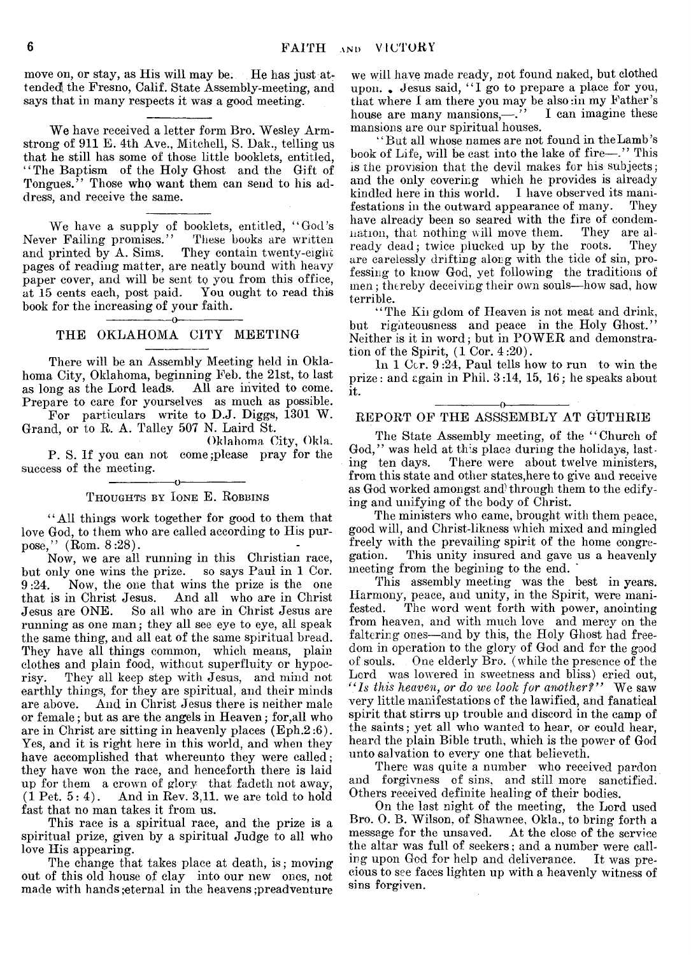move on, or stay, as His will may be. He has just attended the Fresno, Calif. State Assembly-meeting, and says that in many respects it was a good meeting.

We have received a letter form Bro. Wesley Armstrong of 911 E. 4th Ave., Mitchell, S. Dak., telling us that he still has some of those little booklets, entitled, " The Baptism of the Holy Ghost and the Gift of Tongues." Those who want them can send to his address, and receive the same.

We have a supply of booklets, entitled, " God's Never Failing promises." These books are written and printed by A. Sims. They contain twenty-eight pages of reading matter, are neatly bound with heavy paper cover, and will be sent to you from this office, at 15 cents each, post paid. You ought to read this book for the increasing of your faith. -----------------o-----------------

#### THE OKLAHOMA CITY MEETING

There will be an Assembly Meeting held in Oklahoma City, Oklahoma, beginning Feb. the 21st, to last as long as the Lord leads. All are invited to come. Prepare to care for yourselves as much as possible.

For particulars write to D.J. Diggs, 1301 W. Grand, or to R. A. Talley 507 N. Laird St.

Oklahoma City, Okla. P. S. If you can not come;please pray for the success of the meeting.

#### -----------------o----------------- Thoughts by Ione E. Robbins

"All things work together for good to them that love God, to them who are called according to His purpose," (Rom. 8 :28).

Now, we are all running in this Christian race, but only one wins the prize. so says Paul in 1 Cor. 9 :24. Now, the one that wins the prize is the one that is in Christ Jesus. And all who are in Christ Jesus are ONE. So all who are in Christ Jesus are running as one man; they all see eye to eye, all speak the same thing, and all eat of the same spiritual bread. They have all things common, which means, plain clothes and plain food, without superfluity or hypocrisy. They all keep step with Jesus, and mind not earthly things, for they are spiritual, and their minds are above. And in Christ Jesus there is neither male or female; but as are the angels in Heaven; for,all who are in Christ are sitting in heavenly places (Eph.2 :6). Yes, and it is right here in this world, and when they have accomplished that whereunto they were called; they have won the race, and henceforth there is laid up for them a crown of glory that fadeth not away,  $(1$  Pet.  $5:4$ ). And in Rev. 3,11. we are told to hold fast that no man takes it from us.

This race is a spiritual race, and the prize is a spiritual prize, given by a spiritual Judge to all who love His appearing.

The change that takes place at death, is; moving out of this old house of clay into our new ones, not made with hands ; eternal in the heavens ; preadventure we will have made ready, not found naked, but clothed upon.. Jesus said, "I go to prepare a place for you, that where I am there you may be also :in my Father's house are many mansions,— $\cdot$  I can imagine these mansions are our spiritual houses.

" But all whose names are not found in the Lamb's book of Life, will be cast into the lake of fire-"." This is the provision that the devil makes for his subjects; and the only covering which he provides is already kindled here in this world. I have observed its manikindled here in this world. festations in the outward appearance of many. They have already been so seared with the fire of condemnation, that nothing will move them. They are already dead; twice plucked up by the roots. They are carelessly drifting along with the tide of sin, professing to know God, yet following the traditions of men; thereby deceiving their own souls—how sad, how terrible.

"The Kir gdom of Heaven is not meat and drink, but righteousness and peace in the Holy Ghost." Neither is it in word; but in POWER and demonstration of the Spirit, (1 Cor. 4:20).

In 1 Ccr. 9:24, Paul tells how to run to win the prize : and again in Phil. 3 :14, 15, 16; he speaks about it. ---------------- o----------------

#### REPORT OF THE ASSSEMBLY AT GUTHRIE

The State Assembly meeting, of the " Church of God," was held at this place during the holidays, last-<br>ing ten days. There were about twelve ministers. There were about twelve ministers, from this state and other states,here to give and receive as God worked amongst and through them to the edifying and unifying of the body of Christ.

The ministers who came, brought with them peace, good will, and Christ-likness which mixed and mingled freely with the prevailing spirit of the home congregation. This unity insured and gave us a heavenly meeting from the begining to the end.

This assembly meeting was the best in years. Harmony, peace, and unity, in the Spirit, were manifested. The word went forth with power, anointing from heaven, and with much love and mercy on the faltering ones—and by this, the Holy Ghost had freedom in operation to the glory of God and for the good of souls. One elderly Bro. (while the presence of the Lord was lowered in sweetness and bliss) cried out, *" Is this heaven*, *or do we look for another?"* We saw very little manifestations of the lawified, and fanatical spirit that stirrs up trouble and discord in the camp of the saints; yet all who wanted to hear, or could hear, heard the plain Bible truth, which is the power of God unto salvation to every one that believeth.

There was quite a number who received pardon and forgivness of sins, and still more sanctified. Others received definite healing of their bodies.

On the last night of the meeting, the Lord used Bro. 0. B. Wilson, of Shawnee, Okla., to bring forth a message for the unsaved. At the close of the service the altar was full of seekers; and a number were calling upon God for help and deliverance. It was precious to see faces lighten up with a heavenly witness of sins forgiven.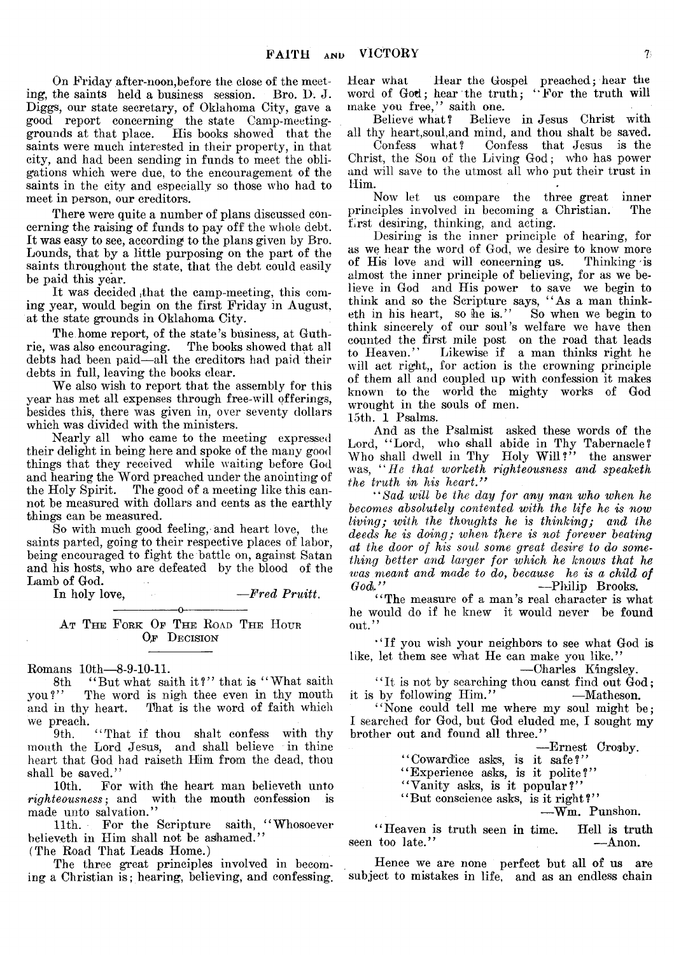On Friday after-noon,before the close of the meeting, the saints held a business session. Bro. D. J. Diggs, our state secretary, of Oklahoma City, gave a good report concerning the state Camp-meetinggrounds at that place. His books showed that the saints were much interested in their property, in that city, and had been sending in funds to meet the obligations which were due, to the encouragement of the saints in the city and especially so those who had to meet in person, our creditors.

There were quite a number of plans discussed concerning the raising of funds to pay off the whole debt. It was easy to see, according to the plans given by Bro. Bounds, that by a little purposing on the part of the saints throughout the state, that the debt could easily be paid this year.

It was decided ,that the camp-meeting, this coming year, would begin on the first Friday in August, at the state grounds in Oklahoma City.

The home report, of the state's business, at Guth-<br>rie, was also encouraging. The books showed that all The books showed that all debts had been paid—all the creditors had paid their debts in full, leaving the books clear.

We also wish to report that the assembly for this year has met all expenses through free-will offerings, besides this, there was given in, over seventy dollars which was divided with the ministers.

Nearly all who came to the meeting expressed their delight in being here and spoke of the many good things that they received while waiting before God and hearing the Word preached under the anointing of the Holy Spirit. The good of a meeting like this cannot be measured with dollars and cents as the earthly things can be measured.

So with much good feeling,-and heart love, the saints parted, going to their respective places of labor, being encouraged to fight the battle on, against Satan and his hosts, who are defeated by the blood of the Lamb of God.<br>In holy love.

In holy love, *—Fred Pruitt*.

#### $-0$ ---AT THE FORK OF THE ROAD THE HOUR OF DECISION

Romans 10th— 8-9-10-11.

8th "But what saith it?" that is "What saith you?" The word is nigh thee even in thy mouth and in thy heart. That is the word of faith which

we preach.<br>9th. "That if thou shalt confess with thy mouth the Lord Jesus, and shall believe in thine heart that God had raiseth Him from the dead, thou shall be saved."

10th. For with the heart man believeth unto *righteousness*; and with the mouth confession is made unto salvation."

11th. For the Scripture saith, "Whosoever believeth in Him shall not be ashamed."

(The Road That Leads Home.)

The three great principles involved in becoming a Christian is; hearing, believing, and confessing. Hear what Hear the Gospel preached; hear the word of God; hear the truth; "For the truth will make you free," saith one.<br>Believe what? Believe

Believe in Jesus Christ with all thy heart, soul, and mind, and thou shalt be saved.<br>Confess what? Confess that Jesus is the

Confess that Jesus is the Christ, the Son of the Living God; who has power and will save to the utmost all who put their trust in Him.

Now let us compare the three great inner<br>ciples involved in becoming a Christian. The principles involved in becoming a Christian. first desiring, thinking, and acting.

Desiring is the inner principle of hearing, for as we hear the word of God, we desire to know more of His love and will concerning us. Thinking is almost the inner principle of believing, for as we believe in God and His power to save we begin to think and so the Scripture says, "As a man thinketh in his heart, so he is." So when we begin to think sincerely of our soul's welfare *we* have then counted the first mile post on the road that leads<br>to Heaven." Likewise if a man thinks right he Likewise if a man thinks right he will act right,, for action is the crowning principle of them all and coupled up with confession it makes known to the world the mighty works of God wrought in the souls of men.

15th. 1 Psalms.

And as the Psalmist asked these words of the Lord, "Lord, who shall abide in Thy Tabernacle? Who shall dwell in Thy Holy Will?" the answer was, *" He that worketh righteousness and speaketh the truth in his heart* ."

*" Sad will be the day for any man who when he becomes absolutely contented with the life he is now living; with the thoughts he is thinking; and the deeds he is doing; when there is not forever beating at the door of his soul some great desire to do something better and larger for which he knows that he was.meant and made to do, because he is a child of* -Philip Brooks.

44The measure of a man's real character is what he would do if he knew it would never be found out."

"If you wish your neighbors to see what God is like, let them see what He can make you like."

— Charles Kingsley.

"It is not by searching thou canst find out  $\ddot{G}$ od; it is by following Him." —Matheson.

"None could tell me where my soul might be; I searched for God, but God eluded me, I sought my brother out and found all three."

— Ernest Crosby.

"Cowardice asks, is it safe?"

"Experience asks, is it polite?"

"Vanity asks, is it popular?"

"But conscience asks, is it right?"

■—Wm. Punshon.

"Heaven is truth seen in time. Hell is truth too late." - Anon. seen too late."

Hence we are none perfect but all of us are subject to mistakes in life, and as an endless chain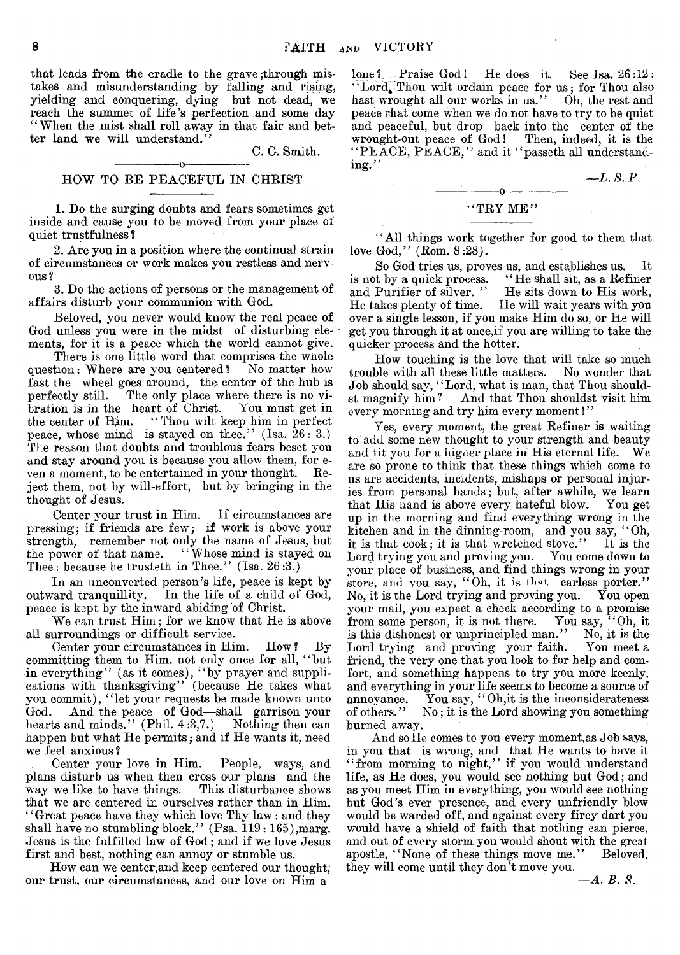that leads from the cradle to the grave; through mistakes and misunderstanding by falling and rising, yielding and conquering, dying but not dead, we reach the summet of life's perfection and some day "When the mist shall roll away in that fair and better land we will understand."

C. C. Smith.

#### $-0-$ HOW TO BE PEACEFUL IN CHRIST

1. Do the surging doubts and fears sometimes get inside and cause you to be moved from your place of quiet trustfulness ?

2. Are you in a position where the continual strain of circumstances or work makes you restless and nervous ?

3. Do the actions of persons or the management of affairs disturb your communion with God.

Beloved, you never would know the real peace of God unless you were in the midst of disturbing elements, for it is a peace which the world cannot give.

There is one little word that comprises the wnole question: Where are you centered? No matter how fast the wheel goes around, the center of the hub is perfectly still. The only place where there is no vibration is in the heart of Christ. You must get in the center of Him. "Thou wilt keep him in perfect peace, whose mind is stayed on thee." (Isa.  $26: 3$ .) The reason that doubts and troublous fears beset you and stay around you is because you allow them, for even a moment, to be entertained in your thought. Reject them, not by will-effort, but by bringing in the thought of Jesus.

Center your trust in Him. If circumstances are pressing; if friends are few; if work is above your strength,—remember not only the name of Jesus, but the power of that name. "Whose mind is stayed on Thee: because he trusteth in Thee." (Isa. 26:3.)

In an unconverted person's life, peace is kept by outward tranquillity. In the life of a child of God, peace is kept by the inward abiding of Christ.

We can trust  $\text{Him}:$  for we know that  $\text{He}$  is above all surroundings or difficult service.

Center your circumstances in Him. How ? By committing them to Him, not only once for all, " but in everything" (as it comes), " by prayer and supplications with thanksgiving" (because He takes what you commit), "let your requests be made known unto God. And the peace of God—shall garrison your And the peace of God—shall garrison your hearts and minds." (Phil. 4:3,7.) Nothing then can happen but what He permits; and if He wants it, need we feel anxious?

Center your love in Him. People, ways, and plans disturb us when then cross our plans and the way we like to have things. This disturbance shows that we are centered in ourselves rather than in Him. ' ' Great peace have they which love Thy law : and they shall have no stumbling block." (Psa. 119:165), marg. Jesus is the fulfilled law of God; and if we love Jesus first and best, nothing can annoy or stumble us.

How can we center,and keep centered our thought, our trust, our circumstances, and our love on Him a $lone ?$ . Praise God! He does it. See Isa.  $26:12:$ "Lord, Thou wilt ordain peace for us; for Thou also hast wrought all our works in us." Oh, the rest and peace that come when we do not have to try to be quiet and peaceful, but drop back into the center of the wrought-out peace of God! Then, indeed, it is the "PEACE, PEACE," and it "passeth all understanding."

 $-L. 8. P.$ 

#### ------ ----------o----------------  $"$  TRY ME"

' ' All things work together for good to them that love God,"  $(Rom. 8:28)$ .

So God tries us, proves us, and establishes us. It is not by a quick process. 4 ' He shall sit, as a Refiner and Purifier of silver. " He sits down to His work, He takes plenty of time. He will wait years with you over a single lesson, if you make Him do so, or He will get you through it at once,if you are willing to take the quicker process and the hotter.

How touching is the love that will take so much trouble with all these little matters. No wonder that Job should say, "Lord, what is man, that Thou should-<br>st magnify him? And that Thou shouldst visit him And that Thou shouldst visit him every morning and try him every moment!"

Yes, every moment, the great Refiner is waiting to add some new thought to your strength and beauty and fit you for a higner place in His eternal life. We are. so prone to think that these things which come to us are accidents, incidents, mishaps or personal injuries from personal hands; but, after awhile, we learn that His hand is above every hateful blow. You get up in the morning and find everything wrong in the kitchen and in the dinning-room, and you say, " Oh, it is that cook; it is that wretched stove." It is the Lord trying you and proving you. You come down to your place of business, and find things wrong in your store, and you say, "Oh, it is that, carless porter." No, it is the Lord trying and proving you. You open your mail, you expect a check according to a promise from some person, it is not there. You say, " Oh, it is this dishonest or unprincipled man." No, it is the Lord trying and proving your faith. You meet a Lord trying and proving your faith. friend, the very one that you look to for help and comfort, and something happens to try you more keenly, and everything in your life seems to become a source of annoyance. You say, "Oh, it is the inconsiderateness of others." No; it is the Lord showing you something No; it is the Lord showing you something burned away.

And so He comes to you every moment,as Job says, in you that is wrong, and that He wants to have it " from morning to night," if you would understand life, as He does, you would see nothing but God; and as you meet Him in everything, you would see nothing but God's ever presence, and every unfriendly blow would be warded off, and against every firey dart you would have a shield of faith that nothing can pierce, and out of every storm you would shout with the great apostle. "None of these things move me." Beloved. apostle, "None of these things move me." they will come until they don't move you.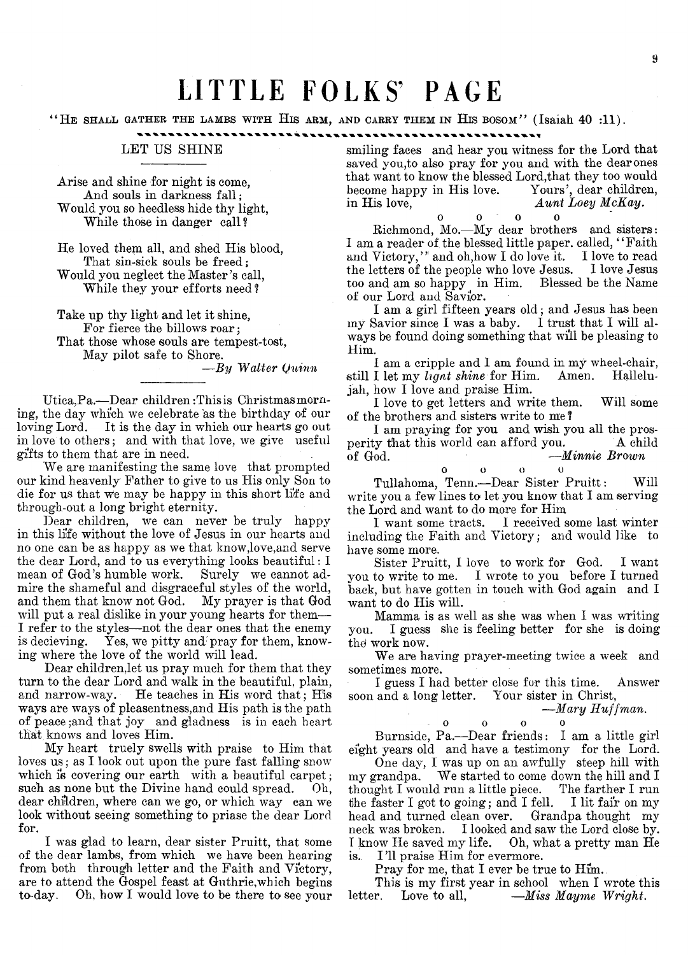# LITTLE FOLKS' PAGE

"HE SHALL GATHER THE LAMBS WITH HIS ARM, AND CARRY THEM IN HIS BOSOM" (Isaiah 40 :11).

#### 

### LET US SHINE

Arise and shine for night is come, And souls in darkness fall: Would you so heedless hide thy light, While those in danger call?

He loved them all, and shed His blood, That sin-sick souls be freed; Would you neglect the Master's call, While they your efforts need ?

Take up thy light and let it shine, For fierce the billows roar; That those whose souls are tempest-tost, May pilot safe to Shore.

*—By Walter Quinn*

Utica, Pa.-Dear children: This is Christmas morning, the day which we celebrate as the birthday of our loving Lord. It is the day in which our hearts go out in love to others; and with that love, we give useful gifts to them that are in need.

We are manifesting the same love that prompted our kind heavenly Father to give to us His only Son to die for us that We may be happy in this short life and through-out a long bright eternity.

Dear children, we can never be truly happy in this life without the love of Jesus in our hearts and no one can be as happy as we that know,love,and serve the dear Lord, and to us everything looks beautiful: I mean of God's humble work. Surely we cannot admire the shameful and disgraceful styles of the world, and them that know not God. My prayer is that God and them that know not God. will put a real dislike in your young hearts for them— I refer to the styles—not the dear ones that the enemy is decising. Yes, we pitty and pray for them, know-Yes, we pitty and pray for them, knowing where the love of the world will lead.

Dear children,let us pray much for them that they turn to the dear Lord and walk in the beautiful, plain, and narrow-way. He teaches in His word that; His ways are ways of pleasentness,and His path is the path of peace ;and that joy and gladness is in each heart that knows and loves Him.

My heart truely swells with praise to Him that loves us; as I look out upon the pure fast falling snow which is covering our earth with a beautiful carpet; such as none but the Divine hand could spread. Oh, dear children, where can we go, or which way can we look without seeing something to priase the dear Lord for.

I was glad to learn, dear sister Pruitt, that some of the dear lambs, from which we have been hearing from both through letter and the Faith and Victory, are to attend the Gospel feast at Guthrie,which begins to-day. Oh, how I would love to be there to see your smiling faces and hear you witness for the Lord that saved you, to also pray for you and with the dearones that want to know the blessed Lord,that they too would become happy in His love. Yours', dear children, in His love, *Aunt Loey McKay*.

o o o o Richmond, Mo.— My dear brothers and sisters: I am a reader of the blessed little paper. called, "Faith and Victory," and oh,how I do love it. I love to read the letters of the people who love Jesus. I love Jesus too and am so happy in Him. Blessed be the Name of our Lord and Savior.

I am a girl fifteen years old; and Jesus has been my Savior since I was a baby. I trust that I will always be found doing something that will be pleasing to Him.

I am a cripple and I am found in my wheel-chair,<br>I let my *hant shine* for Him. Amen. Hallelustill I let my *lignt shine* for Him. Amen. jah, how I love and praise Him.

I love to get letters and write them. Will some of the brothers and sisters write to me ?

I am praying for you and wish you all the prosperity that this world can afford you. A child of God.  $-$ Minnie Brown of God. —*Minnie Brown*

oooo  $\mathbf{o}$ Tullahoma, Tenn.— Dear Sister Pruitt: Will write you a few lines to let you know that I am serving the Lord and want to do more for Him

I want some tracts. I received some last winter including the Faith and Victory; and would like to have some more.

Sister Pruitt, I love to work for God. I want you to write to me. I wrote to you before I turned back, but have gotten in touch with God again and I want to do His will.

Mamma is as well as she was when I was writing you. I guess she is feeling better for she is doing the work now.

We are having prayer-meeting twice a week and sometimes more.

I guess I had better close for this time. Answer soon and a long letter. Your sister in Christ,

*—Mary Huffman*.

oooo

Burnside, Pa.— Dear friends: I am a little girl eight years old and have a testimony for the Lord.

One day, I was up on an awfully steep hill with my grandpa, We started to come down the hill and I thought I would run a little piece. The farther I run tihe faster I got to going; and I fell. I lit fair on my head and turned clean over. Grandpa thought my neck was broken. I looked and saw the Lord close by. Oh, what a pretty man He is. I'll praise Him for evermore.

Pray for me, that I ever be true to Him. This is my first year in school when I wrote this letter. Love to all,  $-Miss$  Mayme Wright.  $\equiv M$ iss Mayme Wright.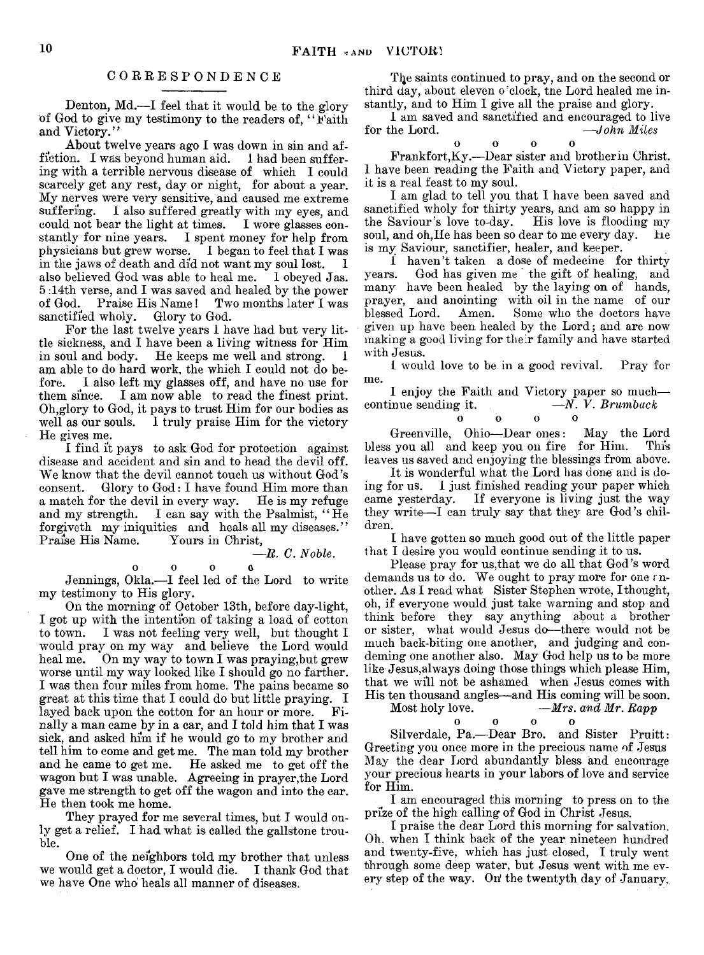#### CORRESPONDENCE

Denton, Md.—I feel that it would be to the glory of God to give my testimony to the readers of, "Faith and Victory."

About twelve years ago I was down in sin and affiction. I was beyond human aid. I had been suffering with a terrible nervous disease of which I could scarcely get any rest, day or night, for about a year. My nerves were very sensitive, and caused me extreme I also suffered greatly with my eyes, and could not bear the light at times. I wore glasses constantly for nine years. I spent money for help from physicians but grew worse. I began to feel that I was in the jaws of death and did not want my soul lost. I also believed God was able to heal me. 1 obeyed Jas. 5 :14th verse, and I was saved and healed by the power Two months later<sup>1</sup> was sanctified wholy, Glory to God.

For the last twelve years 1 have had but very little sickness, and I have been a living witness for Him in soul and body. He keeps me well and strong. 1 am able to do hard work, the which I could not do before. I also left my glasses off, and have no use for them since. I am now able to read the finest print. Oh,glory to God, it pays to trust Him for our bodies as well as our souls. I truly praise Him for the victory He gives me.

1 find it pays to ask God for protection against disease and accident and sin and to head the devil off. We know that the devil cannot touch us without God's<br>consent. Glory to God: I have found Him more than Glory to  $God: I have found Him more than r the devil in every way. He is my refuse.$ a match for the devil in every way.<br>and my strength. I can say with I can say with the Psalmist, "He forgiveth my iniquities and heals all my diseases."<br>Praise His Name. Yours in Christ. Praise His Name.

 $\alpha$ 

$$
\mathbf{0} \qquad \quad \mathbf{0}
$$

Jennings, Okla.— I feel led of the Lord to write my testimony to His glory.

On the morning of October 13th, before day-light, I got up with the intention of taking a load of cotton to town. I was not feeling very well, but thought I would pray on my way and believe the Lord would heal me. On my way to town I was praying, but grew worse until my way looked like I should go no farther. I was then four miles from home. The pains became so great at this time that I could do but little praying. I layed back upon the cotton for an hour or more. Finally a man came by in a car, and I told him that I was sick, and asked him if he would go to my brother and tell him to come and get me. The man told my brother and he came to get me. He asked me to get off the wagon but I was unable. Agreeing in prayer,the Lord gave me strength to get off the wagon and into the car. He then took me home.

They prayed for me several times, but I would only get a relief. I had what is called the gallstone trouble.

One of the neighbors told my brother that unless we would get a doctor, I would die. I thank God that we have One who heals all manner of diseases.

The saints continued to pray, and on the second or third day, about eleven o 'clock, tne Lord healed me instantly, and to Him I give all the praise and glory.

1 am saved and sanctified and encouraged to live<br>for the Lord.  $-$ John Miles  $\longrightarrow$ John Miles

 $\begin{array}{ccc} 0 & \hspace{1.5mm} & 0 & \hspace{1.5mm} & 0 \end{array}$  $\alpha$ Frankfort, Ky.—Dear sister and brother in Christ. I have been reading the Faith and Victory paper, and it is a real feast to my soul.

I am glad to tell you that I have been saved and sanctified wholy for thirty years, and am so happy in the Saviour's love to-day. His love is flooding my the Saviour's love to-day. soul, and oh, He has been so dear to me every day. he is my Saviour, sanctifier, healer, and keeper.

1 haven't taken a dose of medecine for thirty years. God has given me the gift of healing, and many have been healed by the laying on of hands. prayer, and anointing with oil in the name of our blessed Lord. Amen. Some who the doctors have Some who the doctors have given up have been healed by the Lord; and are now making a good living for their family and have started with Jesus.

I would love to be in a good revival. Pray for me.

I enjoy the Faith and Victory paper so much—<br>inue sending it.  $- N. \dot{V}$ . Brumback continue sending it. **o o o**  $\Omega$ 

Greenville, Ohio— Dear ones: May the Lord bless you all and keep you on fire for Him. leaves us saved and enjoying the blessings from above.

It is wonderful what the Lord has done and is doing for us. I just finished reading your paper which If everyone is living just the way they write— I can truly say that they are God's children.

I have gotten so much good out of the little paper that I desire you would continue sending it to us.

Please pray for us,that we do all that God's word demands us to do. We ought to pray more for one rnother. As I read what Sister Stephen wrote, I thought, oh, if everyone would just take warning and stop and think before they say anything about a brother or sister, what would Jesus do—there would not be much back-biting one another, and judging and condeming one another also. May God help us to be more like Jesus,always doing those things which please Him, that we will not be ashamed when Jesus comes with His ten thousand angles—and His coming will be soon.<br>Most holy love.  $-Mrs.$  and Mr. Rapp

*-Mrs. and Mr. Rapp* oooo  $\Omega$ 

Silverdale, Pa.— Dear Bro. and Sister Pruitt: Greeting you once more in the precious name of Jesus May the dear Lord abundantly bless and encourage your precious hearts in your labors of love and service for Him.

I am encouraged this morning to press on to the prize of the high calling of God in Christ Jesus.

I praise the dear Lord this morning for salvation. Oh, when I think back of the year nineteen hundred and twenty-five, which has just closed, I truly went through some deep water, but Jesus went with me every step of the way. On the twentyth day of January.

— *B. C. Noble*.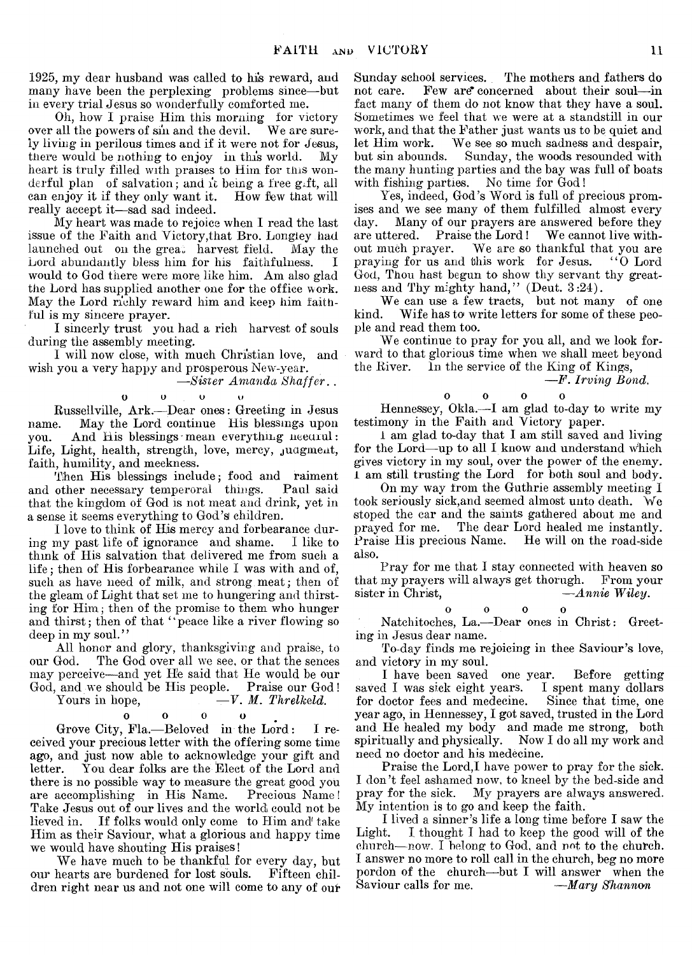1925, my dear husband was called to his reward, and many have been the perplexing: problems since— but in every trial Jesus so wonderfully comforted me.

Oh, how I praise Him this morning for victory over all the powers of sin and the devil. We are surely living in perilous times and if it were not for Jesus, there would be nothing to enjoy in this world. My heart is truly filled with praises to Him for tins wonderful plan of salvation; and it being a free g.ft, all can enjoy it if they only want it. How few that will can enjoy it if they only want it. really accept it— sad sad indeed.

My heart was made to rejoice when I read the last issue of the Faith and Victory,that Bro. Longiey had launched out on the great harvest field. May the Lord abundantly bless him for his faithfulness. I would to God there were more like him. Am also glad the Lord has supplied another one for the office work. May the Lord richly reward him and keep him faithful is my sincere prayer.

I sincerly trust you had a rich harvest of souls during the assembly meeting.

I will now close, with much Christian love, and wish you a very happy and prosperous New-year.

*—Sister Amanda Shaffer. .*

#### o O O u

Russellville, Ark.— Dear ones: Greeting in Jesus name. May the Lord continue His blessings upon<br>you. And His blessings mean everything needful: And His blessings mean everything neearul: Life, Light, health, strength, love, mercy, judgment, faith, humility, and meekness.

Then His blessings include; food and raiment and other necessary temperoral things. Paul said that the kingdom of God is not meat and drink, yet in a sense it seems everything to God's children.

I love to think of His mercy and forbearance during my past life of ignorance and shame. I like to think of His salvation that delivered me from such a life ; then of His forbearance while I was with and of, such as have need of milk, and strong meat; then of the gleam of Light that set me to hungering and thirsting for Him; then of the promise to them who hunger and thirst; then of that " peace like a river flowing so deep in my soul."

All honor and glory, thanksgiving and praise, to our God. The God over all we see, or that the sences may perceive— and yet He said that He would be our God, and we should be His people. Praise our God!<br>Yours in hope,  $-V. M. Threlkeld.$ 

## $-V. M. Threlkeld.$

#### O O 0 o

Grove City, Fla.— Beloved in the Lord: I received your precious letter with the offering some time ago, and just now able to acknowledge your gift and You dear folks are the Elect of the Lord and there is no possible way to measure the great good you<br>are accomplishing in His Name. Precious Name! are accomplishing in His Name. Take Jesus out of our lives and the world could not be lieved in. If folks would only come to Him and take Him as their Saviour, what a glorious and happy time we would have shouting His praises!

We have much to be thankful for every day, but our hearts are burdened for lost souls. dren right near us and not one will come to any of our Sunday school services. The mothers and fathers do not care. Few are concerned about their soul—in Few are\* concerned about their soul—in fact many of them do not know that they have a soul. Sometimes we feel that we were at a standstill in our work, and that the Father just wants us to be quiet and let Him work. We see so much sadness and despair. let Him work. We see so much sadness and despair, Sunday, the woods resounded with the many hunting parties and the bay was full of boats with fishing parties. No time for God!

Yes, indeed, God's Word is full of precious promises and we see many of them fulfilled almost every day. Many of our prayers are answered before they are uttered. Praise the Lord! We cannot live with-<br>out much prayer. We are so thankful that you are We are so thankful that you are<br>this work for Jesus. "O Lord praying for us and this work for Jesus. God, Thou hast begun to show thy servant thy greatness and Thy mighty hand," (Deut. 3:24).

We can use a few tracts, but not many of one kind. Wife has to write letters for some of these people and read them too.

We continue to pray for you all, and we look forward to that glorious time when we shall meet beyond<br>the River. In the service of the King of Kings. In the service of the King of Kings,

#### —*F. Irving Bond.*

 $\mathbf 0$   $\mathbf 0$   $\mathbf 0$ 

Hennessey, Okla.— I am glad to-day to write my testimony in the Faith and Victory paper.

i am glad to-day that I am still saved and living for the Lord—up to all I know and understand which gives victory in my soul, over the power of the enemy. 1 am still trusting the Lord for both soul and body.

On my way from the Guthrie assembly meeting I took seriously sick, and seemed almost unto death. We stoped the car and the saints gathered about me and prayed for me. The dear Lord healed me instantly. Praise His precious Name. He will on the road-side also.

Pray for me that I stay connected with heaven so that my prayers will always get thorugh. From your<br>sister in Christ,  $-Annie$  Wiley. sister in Christ,

> oooo  $\Delta$

Natchitoches, La.— Dear ones in Christ: Greeting in Jesus dear name.

To-day finds me rejoicing in thee Saviour's love, and victory in my soul.

I have been saved one year. Before getting saved I was sick eight years. I spent many dollars for doctor fees and medecine. Since that time, one year ago, in Hennessey, I got saved, trusted in the Lord and He healed my body and made me strong, both spiritually and physically. Now I do all my work and need no doctor and his medecine.

Praise the Lord,I have power to pray for the sick. I don't feel ashamed now, to kneel by the bed-side and pray for the sick. My prayers are always answered. My intention is to go and keep the faith.

I lived a sinner's life a long time before I saw the Light. I. thought I had to keep the good will of the  $church—now. I belong to God, and not to the church.$ I answer no more to roll call in the church, beg no more pordon of the church— but I will answer when the Saviour calls for me. *— Mary Shannon*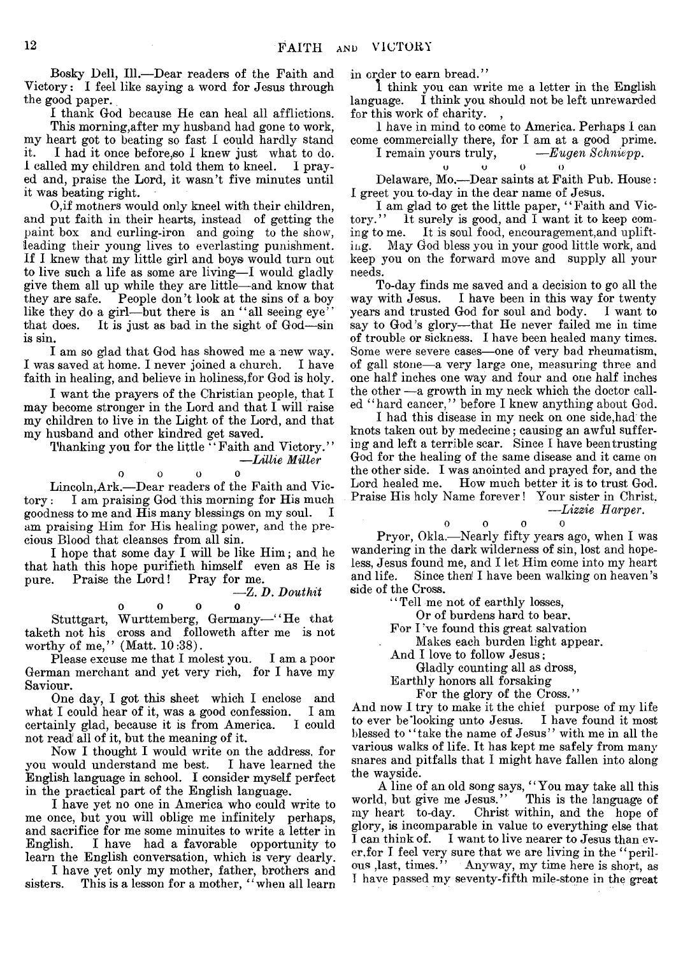Bosky Dell, 111.— Dear readers of the Faith and Victory: I feel like saying a word for Jesus through the good paper.

I thank God because He can heal all afflictions. This morning,after my husband had gone to work, my heart got to beating so fast I could hardly stand it. I had it once before,so I knew just what to do. 1 called my children and told them to kneel. I prayed and, praise the Lord, it wasn't five minutes until it was beating right.

O, if mothers would only kneel with their children, and put faith in their hearts, instead of getting the paint box and curling-iron and going to the show, leading their young lives to everlasting punishment. If I knew that my little girl and boys would turn out to live such a life as some are living—I would gladly give them all up while they are little— and know that they are safe. People don't look at the sins of a boy like they do a girl—but there is an "all seeing eye" that does. It is just as bad in the sight of God—sin It is just as bad in the sight of God—sin is sin.

I am so glad that God has showed me a new way. I was saved at home. I never joined a church. I have faith in healing, and believe in holiness,for God is holy.

I want the prayers of the Christian people, that I may become stronger in the Lord and that I will raise my children to live in the Light of the Lord, and that my husband and other kindred get saved.

Thanking you for the little "Faith and Victory." *—Lillie Miller*

 $\Delta$ 

$$
\mathbf{o} \qquad \qquad \mathbf{o} \qquad \qquad \mathbf{o}
$$

Lincoln,Ark.— Dear readers of the Faith and Victory : I am praising God this morning for His much goodness to me and His many blessings on my soul. I am praising Him for His healing power, and the precious Blood that cleanses from all sin.

I hope that some day I will be like Him; and he that hath this hope purifieth himself even as He is pure. Praise the Lord! Pray for me.

$$
-Z. D. \; Douthit
$$

o o o o Stuttgart, Wurttemberg, Germany— " He that taketh not his cross and followeth after me is not worthy of me," (Matt. 10:38).

Please excuse me that I molest you. I am a poor German merchant and yet very rich, for I have my Saviour.

One day, I got this sheet which I enclose and<br>t I could hear of it, was a good confession. I am what I could hear of it, was a good confession. I am certainly glad, because it is from America. I could certainly glad, because it is from America. not read all of it, but the meaning of it.

Now I thought I would write on the address, for you would understand me best. I have learned the English language in school. I consider myself perfect in the practical part of the English language.

I have yet no one in America who could write to me once, but you will oblige me infinitely perhaps, and sacrifice for me some minuites to write a letter in English. I have had a favorable opportunity to learn the English conversation, which is very dearly.

I have yet only my mother, father, brothers and sisters. This is a lesson for a mother, "when all learn

in order to earn bread."

1 think you can write me a letter in the English language. I think you should not be left unrewarded for this work of charity.

I have in mind to come to America. Perhaps I can come commercially there, for I am at a good prime.<br>I remain yours truly,  $- E u q e n S chniepp$ . I remain yours t

$$
s \, \text{truly}, \qquad -\text{Eugen Sch}
$$

$$
\begin{array}{cc}\n & \circ & \circ & \circ \\
 \text{Delaware, Mo.—Dear saints at Faith Pub. House:} \\
 I \text{ greet you to-day in the dear name of Jesus.}\n \end{array}
$$

I am glad to get the little paper, "Faith and Victory." It surely is good, and I want it to keep com-It surely is good, and I want it to keep coming to me. It is soul food, encouragement, and uplift-<br>ing. May God bless you in your good little work, and May God bless you in your good little work, and keep you on the forward move and supply all your needs.

To-day finds me saved and a decision to go all the way with Jesus. I have been in this way for twenty years and trusted God for soul and body. I want to say to God's glory—that He never failed me in time of trouble or sickness. I have been healed many times. Some were severe cases— one of very bad rheumatism, of gall stone—a very large one, measuring three and one half inches one way and four and one half inches the other —a growth in my neck which the doctor called "hard cancer," before I knew anything about God.

I had this disease in my neck on one side,had the knots taken out by medecine; causing an awful suffering and left a terrible scar. Since I have been trusting God for the healing of the same disease and it came on the other side. I was anointed and prayed for, and the Lord healed me. How much better it is to trust God. Praise His holy Name forever! Your sister in Christ. *—Lizzie Harper.*

$$
0 \qquad 0 \qquad 0 \qquad 0
$$

Pryor, Okla.— Nearly fifty years ago, when I was wandering in the dark wilderness of sin, lost and hopeless, Jesus found me, and I let Him come into my heart and life. Since then I have been walking on heaven's side of the Cross.

' ' Tell me not of earthly losses,

Or of burdens hard to bear.

For I've found this great salvation

Makes each burden light appear.

And I love to follow Jesus;

Gladly counting all as dross,

Earthly honors all forsaking

For the glory of the Cross."

And now I try to make it the chief purpose of my life to ever be'looking unto Jesus. I have found it most blessed to "take the name of Jesus" with me in all the various walks of life. It has kept me safely from many snares and pitfalls that I might have fallen into along the wayside.

A line of an old song says, " You may take all this world, but give me Jesus." This is the language of my heart to-day. Christ within, and the hope of glory, is incomparable in value to everything else that I can think of. I want to live nearer to Jesus than ever,for I feel very sure that we are living in the " perilous , last, times." Anyway, my time here is short, as I have passed my seventy-fifth mile-stone in the great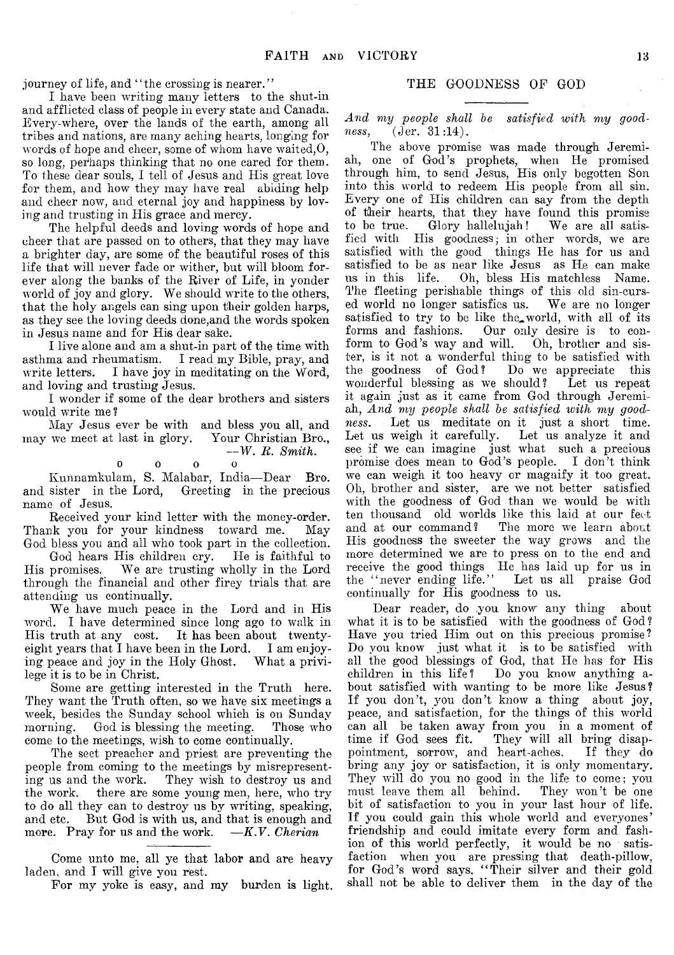journey of life, and "the crossing is nearer."

I have been writing many letters to the shut-in and afflicted class of people in every state and Canada. Every-where, over the lands of the earth, among all tribes and nations, are many aching hearts, longing for words of hope and cheer, some of whom have waited,0, so long, perhaps thinking that no one cared for them. To these dear souls, I tell of Jesus and His great love for them, and how they may have real abiding help and cheer now, and eternal joy and happiness by loving and trusting in His grace and mercy.

The helpful deeds and loving words of hope and cheer that are passed on to others, that they may have a brighter day, are some of the beautiful roses of this life that will never fade or wither, but will bloom forever along the banks of the River of Life, in yonder world of joy and glory. We should write to the others, that the holy angels can sing upon their golden harps, as they see the loving deeds done,and the words spoken in Jesus name and for His dear sake.

I live alone and am a shut-in part of the time with asthma and rheumatism. I read my Bible, pray, and write letters. I have joy in meditating on the Word, and loving and trusting Jesus.

I wonder if some of the dear brothers and sisters would write me ?

May Jesus ever be with and bless you all, and may we meet at last in glory. Your Christian Bro., *— W. R. Smith.*

$$
\begin{array}{cccc}\n0 & 0 & 0 & 0 \\
0 & 0 & 0 & 0\n\end{array}
$$

Kunnamkulam, S. Malabar, India— Dear Bro. and sister in the Lord, Greeting in the precious name of Jesus.

Received your kind letter with the money-order. Thank you for your kindness toward me. May God bless you and all who took part in the collection.

God hears His children cry. He is faithful to His promises. We are trusting wholly in the Lord through the financial and other firey trials that are attending us continually.

We have much peace in the Lord and in His word. I have determined since long ago to walk in His truth at any cost. It has been about twentyeight years that I have been in the Lord. I am enjoying peace and joy in the Holy Ghost. What a privilege it is to be in Christ.

Some are getting interested in the Truth here. They want the Truth often, so we have six meetings a week, besides the Sunday school which is on Sunday morning. God is blessing the meeting. Those who come to the meetings, wish to come continually.

The sect preacher and priest are preventing the people from coming to the meetings by misrepresenting us and the work. They wish to destroy us and the work. there are some young men, here, who try to do all they can to destroy us by writing, speaking, and etc. But God is with us, and that is enough and more. Pray for us and the work. —*K.V. Cherian*

Come unto me, all ye that labor and are heavy laden, and I will give you rest.

For my yoke is easy, and my burden is light.

#### THE GOODNESS OF GOD

*And my people shall be satisfied with my goodness*, (Jer. 31:14).

The above promise was made through Jeremiah, one of God's prophets, when He promised through him, to send Jesus, His only begotten Son into this world to redeem His people from all sin. Every one of His children can say from the depth of their hearts, that they have found this promise to be true. Glory hallelujah! We are all satisfied with His goodness; in other words, we are satisfied with the good things He has for us and satisfied to be as near like Jesus as He can make us in this life. Oh, bless His matchless Name. The fleeting perishable things of this old sin-cursed world no longer satisfies us. We are no longer satisfied to try to be like the world, with all of its forms and fashions. Our only desire is to conform to God's way and will. Oh, brother and sister, is it not a wonderful thing to be satisfied with the goodness of God? Do we appreciate this wonderful blessing as we should? Let us repeat it again just as it came from God through Jeremiah, *And my people shall be satisfied with my goodness.* Let us meditate on it just a short time. Let us weigh it carefully. see if we can imagine just what such a precious promise does mean to God's people. I don't think we can weigh it too heavy or magnify it too great. Oh, brother and sister, are we not better satisfied with the goodness of God than we would be with ten thousand old worlds like this laid at our feet and at our command? The more we learn about The more we learn about His goodness the sweeter the way grows and the more determined we are to press on to the end and receive the good things He has laid up for us in the " never ending life." Let us all praise God continually for His goodness to us.

Dear reader, do you know any thing about what it is to be satisfied with the goodness of God? Have you tried Him out on this precious promise? Do you know just what it is to be satisfied with all the good blessings of God, that He has for His children in this life? Do you know anything about satisfied with wanting to be more like Jesus? If you don't, you don't know a thing about joy, peace, and satisfaction, for the things of this world can all be taken away from you in a moment of time if God sees fit. They will all bring disappointment, sorrow, and heart-aches. If they do bring any joy or satisfaction, it is only momentary. They will do you no good in the life to come; you must leave them all behind. They won't be one must leave them all behind. bit of satisfaction to you in your last hour of life. If you could gain this whole world and everyones' friendship and could imitate every form and fashion of this world perfectly, it would be no satisfaction when you are pressing that death-pillow, for God's word says, "Their silver and their gold shall not be able to deliver them in the day of the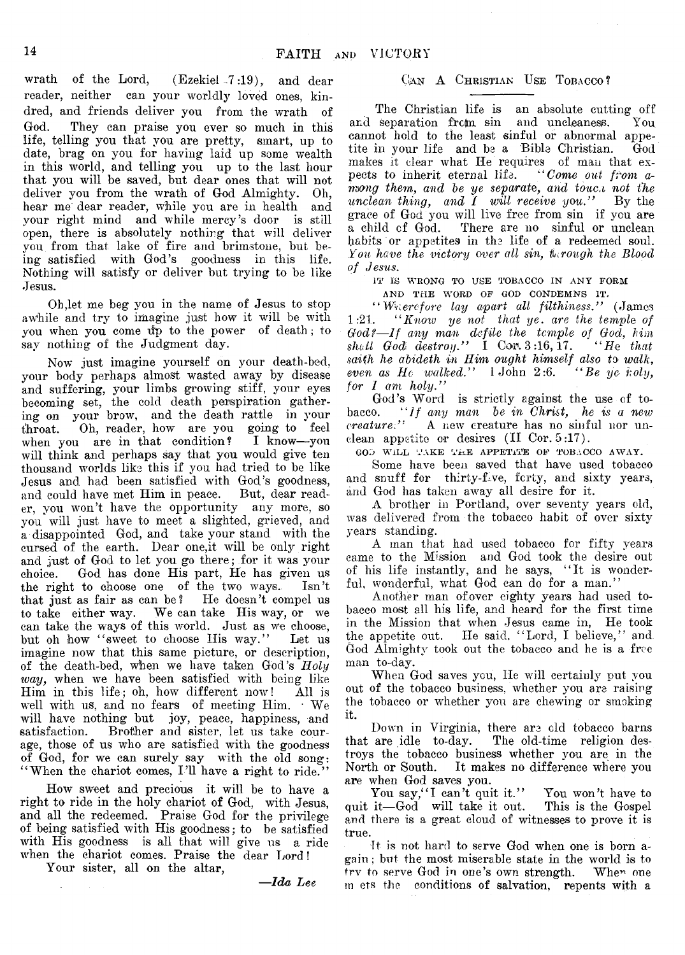wrath of the Lord,  $($  Ezekiel  $-7:19$ ), and dear reader, neither can your worldly loved ones, kindred, and friends deliver you from the wrath of God. They can praise you ever so much in this life, telling you that you are pretty, smart, up to date, brag on you for having laid up some wealth in this world, and telling you up to the last hour that you will be saved, but dear ones that will not deliver you from the wrath of God Almighty. Oh, hear me dear reader, while you are in health and your right mind and while mercy's door is still open, there is absolutely nothing that will deliver you from that lake of fire and brimstone, but being satisfied with God's goodness in this life. Nothing will satisfy or deliver but trying to be like Jesus.

Oh Jet me beg you in the name of Jesus to stop awhile and try to imagine just how it will be with you when you come up to the power of death; to say nothing of the Judgment day.

Now just imagine yourself on your death-bed, your body perhaps almost wasted away by disease and suffering, your limbs growing stiff, your eyes becoming set, the cold death perspiration gathering on your brow, and the death rattle in your throat. Oh, reader, how are you going to feel when you are in that condition? I know— you will think and perhaps say that you would give ten thousand worlds like this if you had tried to be like Jesus and had been satisfied with God's goodness, and could have met Him in peace. But, dear reader, you won't have the opportunity any more, so you will just have to meet a slighted, grieved, and a disappointed God, and take your stand with the cursed of the earth. Dear one,it will be only right and just of God to let you go there; for it was your choice. God has done His part, He has given us the right to choose one of the two ways. Isn't that just as fair as can be? He doesn't compel us to take either way. We can take His way, or we can take the ways of this world. Just as we choose, but oh how "sweet to choose His way." Let us imagine now that this same picture, or description, of the death-bed, when we have taken God's *Holy way*, when we have been satisfied with being like Him in this life; oh, how different now! All is well with us, and no fears of meeting Him. • We will have nothing but joy, peace, happiness, and satisfaction. Brother and sister, let us take courage, those of us who are satisfied with the goodness of God, for we can surely say with the old song: " When the chariot comes, I 'll have a right to ride."

How sweet and precious it will be to have a right to ride in the holy chariot of God, with Jesus, and all the redeemed. Praise God for the privilege of being satisfied with His goodness; to be satisfied with His goodness is all that will give us a ride when the chariot comes. Praise the dear Lord!

Your sister, all on the altar,

*—Ida Lee*

#### CAN A CHRISTIAN USE TOBACCO?

The Christian life is an absolute cutting off separation from sin and uncleaness. You and separation frcm sin and uncleaness. cannot hold to the least sinful or abnormal appetite in your life and be a Bible Christian. God makes it clear what He requires of man that expects to inherit eternal life. "Come out from  $a$ pects to inherit eternal life. *mong them, and be ye separate, and touc.i not the unclean thing. and I will receive vou.*" By the *unclean thing, and I will receive you."* grace of God you will live free from sin if you are a child of God. There are no sinful or unclean habits or appetites in the life of a redeemed soul. You have the victory over all sin, through the Blood *of Jesus.*

IT IS WRONG TO USE TOBACCO IN ANY FORM AND THE WORD OF GOD CONDEMNS IT.

" *Wvercfore lay apart all filthiness."* (James 1:21. *" Knotv ye not that ye. are the temple of Godt—If any mam defile the temple of God*, *him*  $shall$   $God$   $destroy.$ " I  $Cor. 3:16, 17.$ *saiih he abideth in Him ought himself also to walk,*  $even \ as \ He \ walked."$  *I John 2:6. for I am holy."*

God's Word is strictly against the use of tobacco. "If any man be in Christ, he is a new *creature."* A new creature has no sinful nor unclean appetite or desires (II Cor. 5:17).

GOD WILL TAKE THE APPETITE OF TOBACCO AWAY.

Some have been saved that have used tobacco and snuff for thirty-five, forty, and sixty years, and God has taken away all desire for it.

A brother in Portland, over seventy years old, was delivered from the tobacco habit of over sixty years standing.

A man that had used tobacco for fifty years came to the Mission and God took the desire out of his life instantly, and he says, " It is wonderful, wonderful, what God can do for a man."

Another man of over eighty years had used tobacco most all his life, and heard for the first time in the Mission that when Jesus came in, He took the appetite out. He said. "Lord, I believe," and. God Almighty took out the tobacco and he is a free man to-day.

When God saves you, He will certainly put you out of the tobacco business, whether you are raising the tobacco or whether you are chewing or smoking it.

Down in Virginia, there are old tobacco barns that are idle to-day. The old-time religion destroys the tobacco business whether you are in the North or South. It makes no difference where you are when God saves you.

You say, "I can't quit it." You won't have to it—God will take it out. This is the Gospel quit it—God will take it out. and there is a great cloud of witnesses to prove it is true.

It is not hard to serve God when one is born again ; but the most miserable state in the world is to trv to serve God in one's own strength. Whe^ one in ets the conditions of salvation, repents with a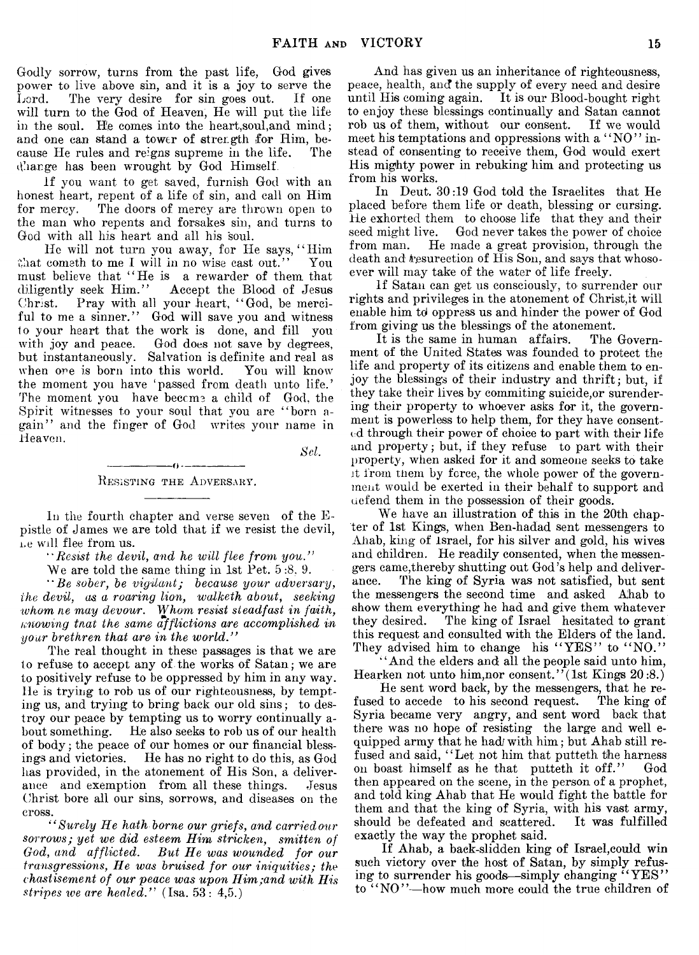Godly sorrow, turns from the past life, God gives power to live above sin, and it is a joy to serve the Lord. The very desire for sin goes out. If one will turn to the God of Heaven, He will put the life in the soul. He comes into the heart,soul,and mind; and one can stand a tower of strength for Him, because He rules and reigns supreme in the life. The d'arge has been wrought by God Himself.

If you want to get saved, furnish God with an honest heart, repent of a life of sin, and call on Him for mercy. The doors of mercy are thrown open to the man who repents and forsakes sin, and turns to God with all his heart and all his soul.

He will not turn you away, for He says, "Him that cometh to me I will in no wise cast out." You must believe that "He is a rewarder of them that diligently seek Him." Accept the Blood of Jesus Accept the Blood of Jesus Christ. Pray with all your heart, " God, be merciful to me a sinner." God will save you and witness to your heart that the work is done, and fill you with joy and peace. God does not save by degrees, but instantaneously. Salvation is definite and real as when ore is born into this world. You will know the moment you have 'passed from death unto life.' The moment you have become a child of God, the Spirit witnesses to your soul that you are " born again" and the finger of God writes your name in Heaven.

*Set.*

 $-$ .  $-$ RESISTING THE ADVERSARY.

In the fourth chapter and verse seven of the Epistle of James we are told that if we resist the devil, ne will flee from us.

*" Resist the devil*, *and he will flee from you."*

We are told the same thing in 1st Pet. 5 :8, 9.

" Re *sober, be vigUant; because your adversary, the devil, as. a roaring lion, walketh about*, *seeking whom he may devour. Whom resist steadfast in faith, Knowing tnat the same afflictions are accomplished in your brethren that are in the world."*

The real thought in these passages is that we are to refuse to accept any of the works of Satan; we are to positively refuse to be oppressed by him in any way. lie is trying to rob us of our righteousness, by tempting us, and trying to bring back our old sins; to destroy our peace by tempting us to worry continually about something. He also seeks to rob us of our health of body; the peace of our homes or our financial blessings and victories. He has no right to do this, as God has provided, in the atonement of His Son, a deliverance and exemption from all these things. Jesus Christ bore all our sins, sorrows, and diseases on the cross.

*" Surely He hath borne our griefs, and carriedour sorrows; yet we did esteem Him stricken, smitten of God, and afflicted. But He was wounded for our transgressions, He was bruised for our iniquities; the chastisement of our peace was upon Him;and with His stripes toe are healed."* (Isa. 53: 4,5.)

And has given us an inheritance of righteousness, peace, health, and the supply of every need and desire until His coming again. It is our Blood-bought right to enjoy these blessings continually and Satan cannot rob us of them, without our consent. If we would meet his temptations and oppressions with a "NO" instead of consenting to receive them, God would exert His mighty power in rebuking him and protecting us from his works.

In Deut. 30:19 God told the Israelites that He placed before them life or death, blessing or cursing. He exhorted them to choose life that they and their seed might live. God never takes the power of choice from man. He made a great provision, through the death and tesurection of His Son, and says that whosoever will may take of the water of life freely.

If Satan can get us consciously, to surrender our rights and privileges in the atonement of Christ,it will enable him td oppress us and hinder the power of God from giving us the blessings of the atonement.

It is the same in human affairs. The Government of the United States was founded to protect the life and property of its citizens and enable them to enjoy the blessing's of their industry and thrift; but, if they take their lives by commiting suicide,or surendering their property to whoever asks for it, the government is powerless to help them, for they have consented through their power of choice to part with their life and property; but, if they refuse to part with their property, when asked for it and someone seeks to take it from them by force, the whole power of the government would be exerted in their behalf to support and uefend them in the possession of their goods.

We have an illustration of this in the 20th chapter of 1st Kings, when Ben-hadad sent messengers to Ahab, king of Israel, for his silver and gold, his wives and children. He readily consented, when the messengers came,thereby shutting out God's help and deliverance. The king of Syria was not satisfied, but sent the messengers the second time and asked Ahab to show them everything he had and give them whatever they desired. The king of Israel hesitated to grant this request and consulted with the Elders of the land. They advised him to change his "YES" to "NO."

" And the elders and all the people said unto him, Hearken not unto him, nor consent." (1st Kings  $20:8$ .)

He sent word back, by the messengers, that he refused to accede to his second request. The king of Syria became very angry, and sent word back that there was no hope of resisting the large and well equipped army that he had/ with him; but Ahab still refused and said, "Let not him that putteth the harness on boast himself as he that putteth it off." God then appeared on the scene, in the person of a prophet, and told king Ahab that He would fight the battle for them and that the king of Syria, with his vast army, should be defeated and scattered. It was fulfilled exactly the way the prophet said.

If Ahab, a back-slidden king of Israel,could win such victory over the host of Satan, by simply refusing to surrender his goods—simply changing "YES" to "NO"-how much more could the true children of